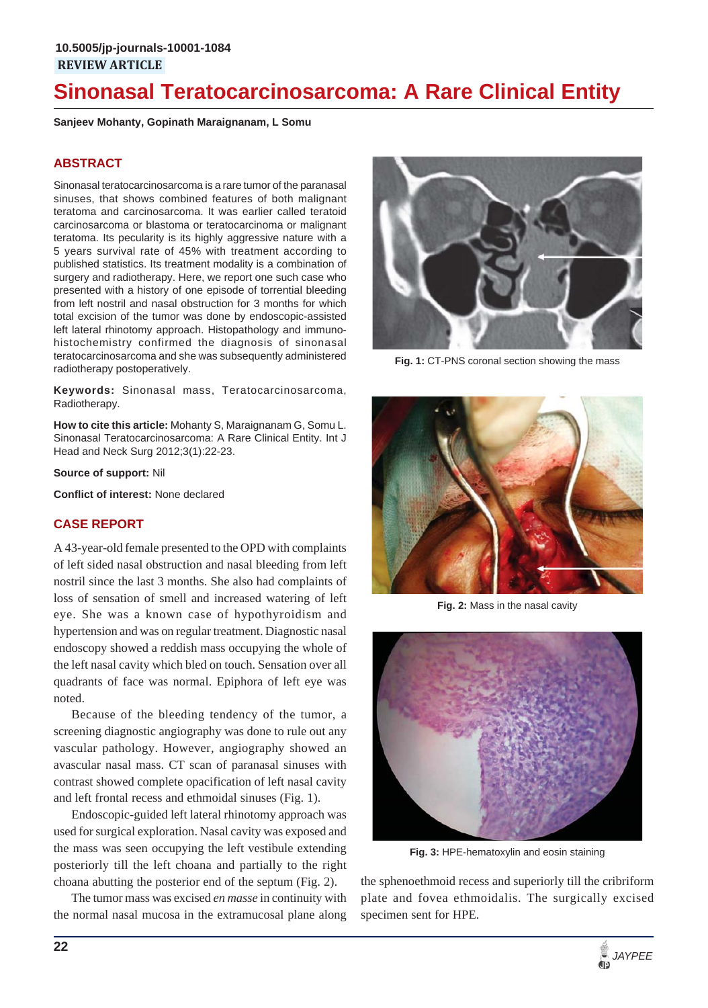# **Sinonasal Teratocarcinosarcoma: A Rare Clinical Entity**

**Sanjeev Mohanty, Gopinath Maraignanam, L Somu**

#### **ABSTRACT**

Sinonasal teratocarcinosarcoma is a rare tumor of the paranasal sinuses, that shows combined features of both malignant teratoma and carcinosarcoma. It was earlier called teratoid carcinosarcoma or blastoma or teratocarcinoma or malignant teratoma. Its pecularity is its highly aggressive nature with a 5 years survival rate of 45% with treatment according to published statistics. Its treatment modality is a combination of surgery and radiotherapy. Here, we report one such case who presented with a history of one episode of torrential bleeding from left nostril and nasal obstruction for 3 months for which total excision of the tumor was done by endoscopic-assisted left lateral rhinotomy approach. Histopathology and immunohistochemistry confirmed the diagnosis of sinonasal teratocarcinosarcoma and she was subsequently administered radiotherapy postoperatively.

**Keywords:** Sinonasal mass, Teratocarcinosarcoma, Radiotherapy.

**How to cite this article:** Mohanty S, Maraignanam G, Somu L. Sinonasal Teratocarcinosarcoma: A Rare Clinical Entity. Int J Head and Neck Surg 2012;3(1):22-23.

**Source of support:** Nil

**Conflict of interest:** None declared

#### **CASE REPORT**

A 43-year-old female presented to the OPD with complaints of left sided nasal obstruction and nasal bleeding from left nostril since the last 3 months. She also had complaints of loss of sensation of smell and increased watering of left eye. She was a known case of hypothyroidism and hypertension and was on regular treatment. Diagnostic nasal endoscopy showed a reddish mass occupying the whole of the left nasal cavity which bled on touch. Sensation over all quadrants of face was normal. Epiphora of left eye was noted.

Because of the bleeding tendency of the tumor, a screening diagnostic angiography was done to rule out any vascular pathology. However, angiography showed an avascular nasal mass. CT scan of paranasal sinuses with contrast showed complete opacification of left nasal cavity and left frontal recess and ethmoidal sinuses (Fig. 1).

Endoscopic-guided left lateral rhinotomy approach was used for surgical exploration. Nasal cavity was exposed and the mass was seen occupying the left vestibule extending posteriorly till the left choana and partially to the right choana abutting the posterior end of the septum (Fig. 2).

The tumor mass was excised *en masse* in continuity with the normal nasal mucosa in the extramucosal plane along



**Fig. 1:** CT-PNS coronal section showing the mass



**Fig. 2:** Mass in the nasal cavity



**Fig. 3:** HPE-hematoxylin and eosin staining

the sphenoethmoid recess and superiorly till the cribriform plate and fovea ethmoidalis. The surgically excised specimen sent for HPE.